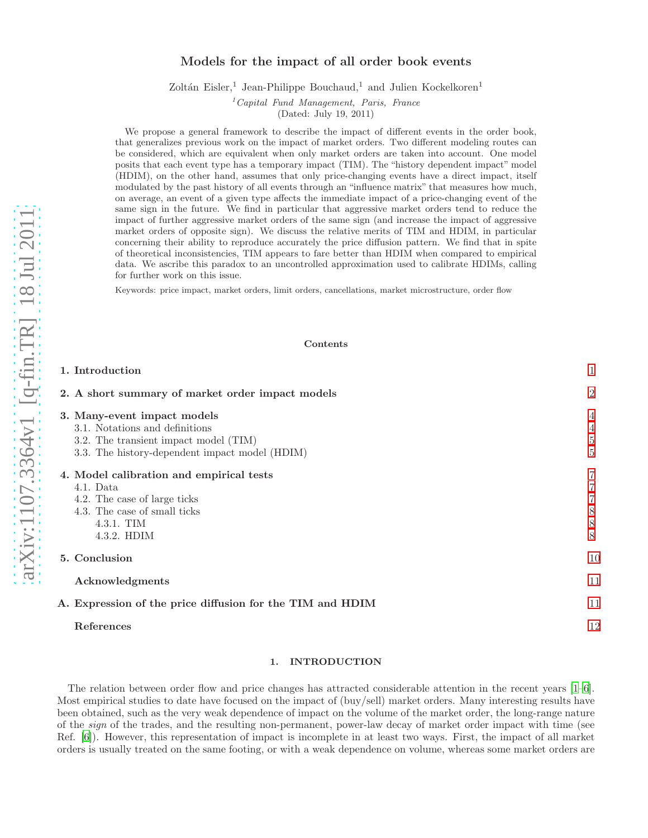# Models for the impact of all order book events

Zoltán Eisler,<sup>1</sup> Jean-Philippe Bouchaud,<sup>1</sup> and Julien Kockelkoren<sup>1</sup>

 ${}^{1}$ Capital Fund Management, Paris, France

(Dated: July 19, 2011)

We propose a general framework to describe the impact of different events in the order book, that generalizes previous work on the impact of market orders. Two different modeling routes can be considered, which are equivalent when only market orders are taken into account. One model posits that each event type has a temporary impact (TIM). The "history dependent impact" model (HDIM), on the other hand, assumes that only price-changing events have a direct impact, itself modulated by the past history of all events through an "influence matrix" that measures how much, on average, an event of a given type affects the immediate impact of a price-changing event of the same sign in the future. We find in particular that aggressive market orders tend to reduce the impact of further aggressive market orders of the same sign (and increase the impact of aggressive market orders of opposite sign). We discuss the relative merits of TIM and HDIM, in particular concerning their ability to reproduce accurately the price diffusion pattern. We find that in spite of theoretical inconsistencies, TIM appears to fare better than HDIM when compared to empirical data. We ascribe this paradox to an uncontrolled approximation used to calibrate HDIMs, calling for further work on this issue.

Keywords: price impact, market orders, limit orders, cancellations, market microstructure, order flow

# Contents

| 1. Introduction                                                                                                                                       |                     |
|-------------------------------------------------------------------------------------------------------------------------------------------------------|---------------------|
| 2. A short summary of market order impact models                                                                                                      | $\overline{2}$      |
| 3. Many-event impact models<br>3.1. Notations and definitions                                                                                         | 4<br>4              |
| 3.2. The transient impact model (TIM)<br>3.3. The history-dependent impact model (HDIM)                                                               | $\overline{5}$<br>5 |
| 4. Model calibration and empirical tests<br>4.1. Data<br>4.2. The case of large ticks<br>4.3. The case of small ticks<br>$4.3.1$ . TIM<br>4.3.2. HDIM | 8<br>8<br>8         |
| 5. Conclusion                                                                                                                                         | 10                  |
| Acknowledgments                                                                                                                                       | 11                  |
| A. Expression of the price diffusion for the TIM and HDIM                                                                                             | 11                  |
| References                                                                                                                                            | 12                  |

# <span id="page-0-0"></span>1. INTRODUCTION

The relation between order flow and price changes has attracted considerable attention in the recent years [\[1](#page-11-1)[–6\]](#page-11-2). Most empirical studies to date have focused on the impact of (buy/sell) market orders. Many interesting results have been obtained, such as the very weak dependence of impact on the volume of the market order, the long-range nature of the sign of the trades, and the resulting non-permanent, power-law decay of market order impact with time (see Ref. [\[6](#page-11-2)]). However, this representation of impact is incomplete in at least two ways. First, the impact of all market orders is usually treated on the same footing, or with a weak dependence on volume, whereas some market orders are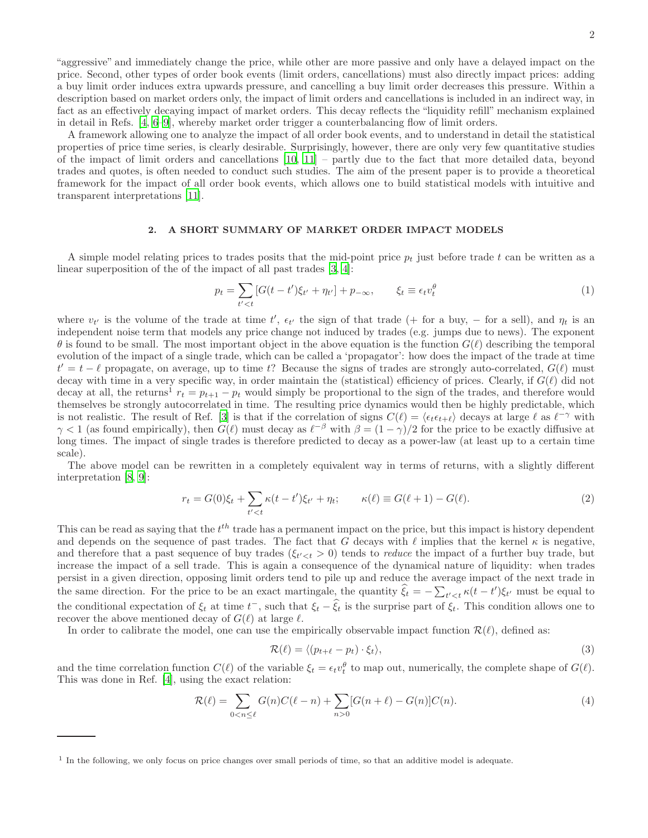"aggressive" and immediately change the price, while other are more passive and only have a delayed impact on the price. Second, other types of order book events (limit orders, cancellations) must also directly impact prices: adding a buy limit order induces extra upwards pressure, and cancelling a buy limit order decreases this pressure. Within a description based on market orders only, the impact of limit orders and cancellations is included in an indirect way, in fact as an effectively decaying impact of market orders. This decay reflects the "liquidity refill" mechanism explained in detail in Refs. [\[4,](#page-11-3) [6](#page-11-2)[–9\]](#page-11-4), whereby market order trigger a counterbalancing flow of limit orders.

A framework allowing one to analyze the impact of all order book events, and to understand in detail the statistical properties of price time series, is clearly desirable. Surprisingly, however, there are only very few quantitative studies of the impact of limit orders and cancellations  $[10, 11]$  $[10, 11]$  $[10, 11]$  – partly due to the fact that more detailed data, beyond trades and quotes, is often needed to conduct such studies. The aim of the present paper is to provide a theoretical framework for the impact of all order book events, which allows one to build statistical models with intuitive and transparent interpretations [\[11\]](#page-11-6).

# <span id="page-1-0"></span>2. A SHORT SUMMARY OF MARKET ORDER IMPACT MODELS

A simple model relating prices to trades posits that the mid-point price  $p_t$  just before trade t can be written as a linear superposition of the of the impact of all past trades  $[3, 4]$  $[3, 4]$ :

<span id="page-1-2"></span>
$$
p_t = \sum_{t' < t} \left[ G(t - t') \xi_{t'} + \eta_{t'} \right] + p_{-\infty}, \qquad \xi_t \equiv \epsilon_t v_t^{\theta} \tag{1}
$$

where  $v_{t'}$  is the volume of the trade at time  $t'$ ,  $\epsilon_{t'}$  the sign of that trade (+ for a buy, – for a sell), and  $\eta_t$  is an independent noise term that models any price change not induced by trades (e.g. jumps due to news). The exponent  $\theta$  is found to be small. The most important object in the above equation is the function  $G(\ell)$  describing the temporal evolution of the impact of a single trade, which can be called a 'propagator': how does the impact of the trade at time  $t' = t - \ell$  propagate, on average, up to time t? Because the signs of trades are strongly auto-correlated,  $G(\ell)$  must decay with time in a very specific way, in order maintain the (statistical) efficiency of prices. Clearly, if  $G(\ell)$  did not decay at all, the returns<sup>1</sup>  $r_t = p_{t+1} - p_t$  would simply be proportional to the sign of the trades, and therefore would themselves be strongly autocorrelated in time. The resulting price dynamics would then be highly predictable, which is not realistic. The result of Ref. [\[3](#page-11-7)] is that if the correlation of signs  $C(\ell) = \langle \epsilon_t \epsilon_{t+\ell} \rangle$  decays at large  $\ell$  as  $\ell^{-\gamma}$  with  $\gamma < 1$  (as found empirically), then  $G(\ell)$  must decay as  $\ell^{-\beta}$  with  $\beta = (1 - \gamma)/2$  for the price to be exactly diffusive at long times. The impact of single trades is therefore predicted to decay as a power-law (at least up to a certain time scale).

The above model can be rewritten in a completely equivalent way in terms of returns, with a slightly different interpretation [\[8](#page-11-8), [9](#page-11-4)]:

<span id="page-1-1"></span>
$$
r_t = G(0)\xi_t + \sum_{t' < t} \kappa(t - t')\xi_{t'} + \eta_t; \qquad \kappa(\ell) \equiv G(\ell + 1) - G(\ell). \tag{2}
$$

This can be read as saying that the  $t^{th}$  trade has a permanent impact on the price, but this impact is history dependent and depends on the sequence of past trades. The fact that G decays with  $\ell$  implies that the kernel  $\kappa$  is negative, and therefore that a past sequence of buy trades  $(\xi_{t' < t} > 0)$  tends to *reduce* the impact of a further buy trade, but increase the impact of a sell trade. This is again a consequence of the dynamical nature of liquidity: when trades persist in a given direction, opposing limit orders tend to pile up and reduce the average impact of the next trade in the same direction. For the price to be an exact martingale, the quantity  $\hat{\xi}_t = -\sum_{t' < t} \kappa(t - t') \xi_{t'}$  must be equal to the conditional expectation of  $\xi_t$  at time  $t^-$ , such that  $\xi_t - \hat{\xi}_t$  is the surprise part of  $\xi_t$ . This condition allows one to recover the above mentioned decay of  $G(\ell)$  at large  $\ell$ .

In order to calibrate the model, one can use the empirically observable impact function  $\mathcal{R}(\ell)$ , defined as:

$$
\mathcal{R}(\ell) = \langle (p_{t+\ell} - p_t) \cdot \xi_t \rangle, \tag{3}
$$

and the time correlation function  $C(\ell)$  of the variable  $\xi_t = \epsilon_t v_t^{\theta}$  to map out, numerically, the complete shape of  $G(\ell)$ . This was done in Ref. [\[4\]](#page-11-3), using the exact relation:

<span id="page-1-3"></span>
$$
\mathcal{R}(\ell) = \sum_{0 < n \le \ell} G(n)C(\ell - n) + \sum_{n > 0} [G(n + \ell) - G(n)]C(n). \tag{4}
$$

<sup>&</sup>lt;sup>1</sup> In the following, we only focus on price changes over small periods of time, so that an additive model is adequate.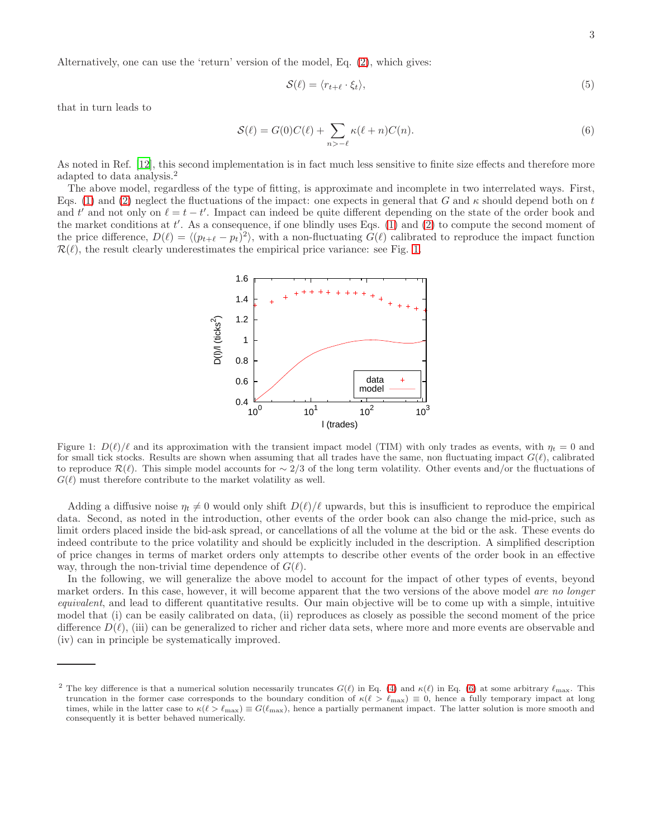$$
\mathcal{S}(\ell) = \langle r_{t+\ell} \cdot \xi_t \rangle,\tag{5}
$$

that in turn leads to

<span id="page-2-1"></span>
$$
S(\ell) = G(0)C(\ell) + \sum_{n > -\ell} \kappa(\ell+n)C(n). \tag{6}
$$

As noted in Ref. [\[12](#page-11-9)], this second implementation is in fact much less sensitive to finite size effects and therefore more adapted to data analysis.<sup>2</sup>

The above model, regardless of the type of fitting, is approximate and incomplete in two interrelated ways. First, Eqs. [\(1\)](#page-1-2) and [\(2\)](#page-1-1) neglect the fluctuations of the impact: one expects in general that G and  $\kappa$  should depend both on t and t' and not only on  $\ell = t - t'$ . Impact can indeed be quite different depending on the state of the order book and the market conditions at  $t'$ . As a consequence, if one blindly uses Eqs. [\(1\)](#page-1-2) and [\(2\)](#page-1-1) to compute the second moment of the price difference,  $D(\ell) = \langle (p_{t+\ell} - p_t)^2 \rangle$ , with a non-fluctuating  $G(\ell)$  calibrated to reproduce the impact function  $\mathcal{R}(\ell)$ , the result clearly underestimates the empirical price variance: see Fig. [1.](#page-2-0)



<span id="page-2-0"></span>Figure 1:  $D(\ell)/\ell$  and its approximation with the transient impact model (TIM) with only trades as events, with  $\eta_t = 0$  and for small tick stocks. Results are shown when assuming that all trades have the same, non fluctuating impact  $G(\ell)$ , calibrated to reproduce  $\mathcal{R}(\ell)$ . This simple model accounts for ~ 2/3 of the long term volatility. Other events and/or the fluctuations of  $G(\ell)$  must therefore contribute to the market volatility as well.

Adding a diffusive noise  $\eta_t \neq 0$  would only shift  $D(\ell)/\ell$  upwards, but this is insufficient to reproduce the empirical data. Second, as noted in the introduction, other events of the order book can also change the mid-price, such as limit orders placed inside the bid-ask spread, or cancellations of all the volume at the bid or the ask. These events do indeed contribute to the price volatility and should be explicitly included in the description. A simplified description of price changes in terms of market orders only attempts to describe other events of the order book in an effective way, through the non-trivial time dependence of  $G(\ell)$ .

In the following, we will generalize the above model to account for the impact of other types of events, beyond market orders. In this case, however, it will become apparent that the two versions of the above model are no longer equivalent, and lead to different quantitative results. Our main objective will be to come up with a simple, intuitive model that (i) can be easily calibrated on data, (ii) reproduces as closely as possible the second moment of the price difference  $D(\ell)$ , (iii) can be generalized to richer and richer data sets, where more and more events are observable and (iv) can in principle be systematically improved.

<sup>&</sup>lt;sup>2</sup> The key difference is that a numerical solution necessarily truncates  $G(\ell)$  in Eq. [\(4\)](#page-1-3) and  $\kappa(\ell)$  in Eq. [\(6\)](#page-2-1) at some arbitrary  $\ell_{\text{max}}$ . This truncation in the former case corresponds to the boundary condition of  $\kappa(\ell > \ell_{\max}) \equiv 0$ , hence a fully temporary impact at long times, while in the latter case to  $\kappa(\ell > \ell_{\max}) \equiv G(\ell_{\max})$ , hence a partially permanent impact. The latter solution is more smooth and consequently it is better behaved numerically.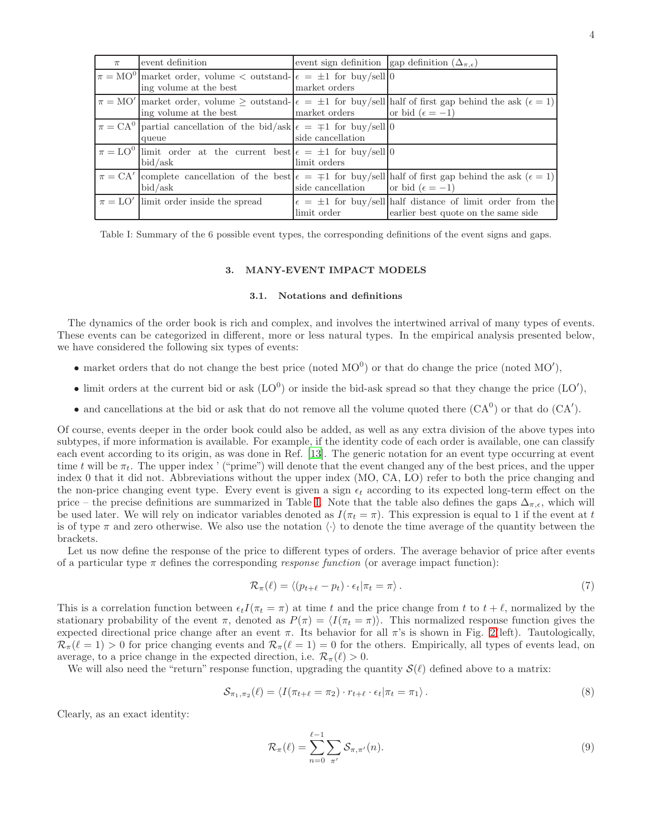| $\pi$ | event definition                                                                                              | event sign definition ( $\Delta_{\pi,\epsilon}$ )   |                                                                                                                                     |
|-------|---------------------------------------------------------------------------------------------------------------|-----------------------------------------------------|-------------------------------------------------------------------------------------------------------------------------------------|
|       | $\pi = MO^0$ market order, volume $\lt$ outstand- $\epsilon = \pm 1$ for buy/sell 0<br>ing volume at the best | market orders                                       |                                                                                                                                     |
|       | ing volume at the best                                                                                        | market orders $\qquad$ or bid $(\epsilon = -1)$     | $\pi = MO'$ market order, volume $\geq$ outstand- $\epsilon = \pm 1$ for buy/sell half of first gap behind the ask $(\epsilon = 1)$ |
|       | $\pi = CA^0$ partial cancellation of the bid/ask $\epsilon = \pm 1$ for buy/sell  0<br>queue                  | side cancellation                                   |                                                                                                                                     |
|       | $\pi = LO^0$ limit order at the current best $\epsilon = \pm 1$ for buy/sell   0<br>bid/ask                   | limit orders                                        |                                                                                                                                     |
|       | bid/ask                                                                                                       | side cancellation $\qquad$ or bid $(\epsilon = -1)$ | $\pi = CA'$ complete cancellation of the best $\epsilon = \pm 1$ for buy/sell half of first gap behind the ask $(\epsilon = 1)$     |
|       | $\pi = LO'$ limit order inside the spread                                                                     | limit order                                         | $\epsilon = \pm 1$ for buy/sell half distance of limit order from the<br>earlier best quote on the same side                        |

<span id="page-3-2"></span>Table I: Summary of the 6 possible event types, the corresponding definitions of the event signs and gaps.

### <span id="page-3-0"></span>3. MANY-EVENT IMPACT MODELS

# <span id="page-3-1"></span>3.1. Notations and definitions

The dynamics of the order book is rich and complex, and involves the intertwined arrival of many types of events. These events can be categorized in different, more or less natural types. In the empirical analysis presented below, we have considered the following six types of events:

- market orders that do not change the best price (noted  $MO<sup>0</sup>$ ) or that do change the price (noted  $MO'$ ),
- limit orders at the current bid or ask  $(LO^0)$  or inside the bid-ask spread so that they change the price  $(LO')$ ,
- and cancellations at the bid or ask that do not remove all the volume quoted there  $(CA^0)$  or that do  $(CA')$ .

Of course, events deeper in the order book could also be added, as well as any extra division of the above types into subtypes, if more information is available. For example, if the identity code of each order is available, one can classify each event according to its origin, as was done in Ref. [\[13\]](#page-11-10). The generic notation for an event type occurring at event time t will be  $\pi_t$ . The upper index ' ("prime") will denote that the event changed any of the best prices, and the upper index 0 that it did not. Abbreviations without the upper index (MO, CA, LO) refer to both the price changing and the non-price changing event type. Every event is given a sign  $\epsilon_t$  according to its expected long-term effect on the price – the precise definitions are summarized in Table [I.](#page-3-2) Note that the table also defines the gaps  $\Delta_{\pi,\epsilon}$ , which will be used later. We will rely on indicator variables denoted as  $I(\pi_t = \pi)$ . This expression is equal to 1 if the event at t is of type  $\pi$  and zero otherwise. We also use the notation  $\langle \cdot \rangle$  to denote the time average of the quantity between the brackets.

Let us now define the response of the price to different types of orders. The average behavior of price after events of a particular type  $\pi$  defines the corresponding *response function* (or average impact function):

<span id="page-3-3"></span>
$$
\mathcal{R}_{\pi}(\ell) = \langle (p_{t+\ell} - p_t) \cdot \epsilon_t | \pi_t = \pi \rangle. \tag{7}
$$

This is a correlation function between  $\epsilon_t I(\pi_t = \pi)$  at time t and the price change from t to  $t + \ell$ , normalized by the stationary probability of the event  $\pi$ , denoted as  $P(\pi) = \langle I(\pi_t = \pi) \rangle$ . This normalized response function gives the expected directional price change after an event  $\pi$ . Its behavior for all  $\pi$ 's is shown in Fig. [2\(](#page-4-2)left). Tautologically,  $\mathcal{R}_{\pi}(\ell=1) > 0$  for price changing events and  $\mathcal{R}_{\pi}(\ell=1) = 0$  for the others. Empirically, all types of events lead, on average, to a price change in the expected direction, i.e.  $\mathcal{R}_{\pi}(\ell) > 0$ .

We will also need the "return" response function, upgrading the quantity  $\mathcal{S}(\ell)$  defined above to a matrix:

$$
S_{\pi_1, \pi_2}(\ell) = \langle I(\pi_{t+\ell} = \pi_2) \cdot r_{t+\ell} \cdot \epsilon_t | \pi_t = \pi_1 \rangle. \tag{8}
$$

Clearly, as an exact identity:

$$
\mathcal{R}_{\pi}(\ell) = \sum_{n=0}^{\ell-1} \sum_{\pi'} \mathcal{S}_{\pi,\pi'}(n). \tag{9}
$$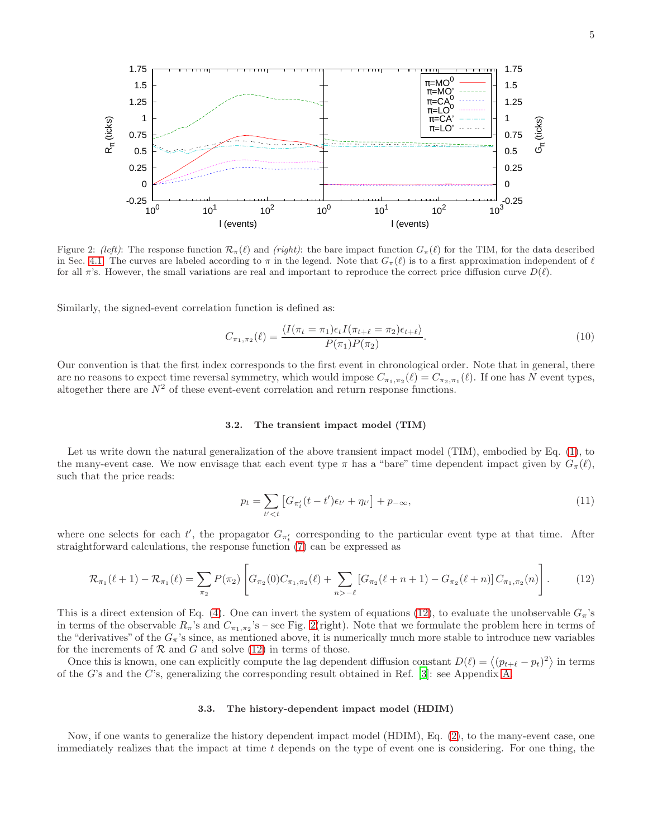

<span id="page-4-2"></span>Figure 2: (left): The response function  $\mathcal{R}_{\pi}(\ell)$  and (right): the bare impact function  $G_{\pi}(\ell)$  for the TIM, for the data described in Sec. [4.1.](#page-6-1) The curves are labeled according to  $\pi$  in the legend. Note that  $G_{\pi}(\ell)$  is to a first approximation independent of  $\ell$ for all  $\pi$ 's. However, the small variations are real and important to reproduce the correct price diffusion curve  $D(\ell)$ .

Similarly, the signed-event correlation function is defined as:

$$
C_{\pi_1, \pi_2}(\ell) = \frac{\langle I(\pi_t = \pi_1)\epsilon_t I(\pi_{t+\ell} = \pi_2)\epsilon_{t+\ell}\rangle}{P(\pi_1)P(\pi_2)}.
$$
\n(10)

Our convention is that the first index corresponds to the first event in chronological order. Note that in general, there are no reasons to expect time reversal symmetry, which would impose  $C_{\pi_1,\pi_2}(\ell) = C_{\pi_2,\pi_1}(\ell)$ . If one has N event types, altogether there are  $N^2$  of these event-event correlation and return response functions.

# <span id="page-4-0"></span>3.2. The transient impact model (TIM)

Let us write down the natural generalization of the above transient impact model (TIM), embodied by Eq. [\(1\)](#page-1-2), to the many-event case. We now envisage that each event type  $\pi$  has a "bare" time dependent impact given by  $G_{\pi}(\ell)$ , such that the price reads:

<span id="page-4-4"></span>
$$
p_t = \sum_{t' < t} \left[ G_{\pi'_t} (t - t') \epsilon_{t'} + \eta_{t'} \right] + p_{-\infty},\tag{11}
$$

where one selects for each t', the propagator  $G_{\pi'_t}$  corresponding to the particular event type at that time. After straightforward calculations, the response function [\(7\)](#page-3-3) can be expressed as

<span id="page-4-3"></span>
$$
\mathcal{R}_{\pi_1}(\ell+1) - \mathcal{R}_{\pi_1}(\ell) = \sum_{\pi_2} P(\pi_2) \left[ G_{\pi_2}(0) C_{\pi_1, \pi_2}(\ell) + \sum_{n > -\ell} \left[ G_{\pi_2}(\ell+n+1) - G_{\pi_2}(\ell+n) \right] C_{\pi_1, \pi_2}(n) \right]. \tag{12}
$$

This is a direct extension of Eq. [\(4\)](#page-1-3). One can invert the system of equations [\(12\)](#page-4-3), to evaluate the unobservable  $G_{\pi}$ 's in terms of the observable  $R_{\pi}$ 's and  $C_{\pi_1,\pi_2}$ 's – see Fig. [2\(](#page-4-2)right). Note that we formulate the problem here in terms of the "derivatives" of the  $G_{\pi}$ 's since, as mentioned above, it is numerically much more stable to introduce new variables for the increments of  $R$  and  $G$  and solve [\(12\)](#page-4-3) in terms of those.

Once this is known, one can explicitly compute the lag dependent diffusion constant  $D(\ell) = \langle (p_{t+\ell} - p_t)^2 \rangle$  in terms of the G's and the C's, generalizing the corresponding result obtained in Ref. [\[3](#page-11-7)]: see Appendix [A.](#page-10-1)

## <span id="page-4-1"></span>3.3. The history-dependent impact model (HDIM)

Now, if one wants to generalize the history dependent impact model (HDIM), Eq. [\(2\)](#page-1-1), to the many-event case, one immediately realizes that the impact at time  $t$  depends on the type of event one is considering. For one thing, the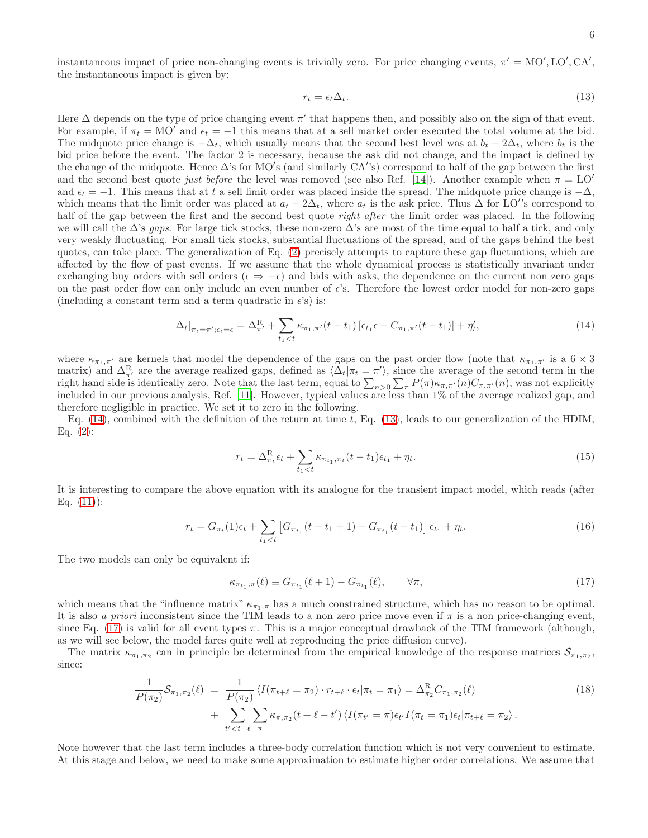instantaneous impact of price non-changing events is trivially zero. For price changing events,  $\pi' = MO', LO', CA',$ the instantaneous impact is given by:

<span id="page-5-1"></span>
$$
r_t = \epsilon_t \Delta_t. \tag{13}
$$

Here  $\Delta$  depends on the type of price changing event  $\pi'$  that happens then, and possibly also on the sign of that event. For example, if  $\pi_t = MO'$  and  $\epsilon_t = -1$  this means that at a sell market order executed the total volume at the bid. The midquote price change is  $-\Delta_t$ , which usually means that the second best level was at  $b_t - 2\Delta_t$ , where  $b_t$  is the bid price before the event. The factor 2 is necessary, because the ask did not change, and the impact is defined by the change of the midquote. Hence ∆'s for MO′ s (and similarly CA′ 's) correspond to half of the gap between the first and the second best quote just before the level was removed (see also Ref. [\[14\]](#page-11-11)). Another example when  $\pi = LO'$ and  $\epsilon_t = -1$ . This means that at t a sell limit order was placed inside the spread. The midquote price change is  $-\Delta$ , which means that the limit order was placed at  $a_t - 2\Delta_t$ , where  $a_t$  is the ask price. Thus  $\Delta$  for LO''s correspond to half of the gap between the first and the second best quote *right after* the limit order was placed. In the following we will call the  $\Delta$ 's gaps. For large tick stocks, these non-zero  $\Delta$ 's are most of the time equal to half a tick, and only very weakly fluctuating. For small tick stocks, substantial fluctuations of the spread, and of the gaps behind the best quotes, can take place. The generalization of Eq. [\(2\)](#page-1-1) precisely attempts to capture these gap fluctuations, which are affected by the flow of past events. If we assume that the whole dynamical process is statistically invariant under exchanging buy orders with sell orders ( $\epsilon \Rightarrow -\epsilon$ ) and bids with asks, the dependence on the current non zero gaps on the past order flow can only include an even number of  $\epsilon$ 's. Therefore the lowest order model for non-zero gaps (including a constant term and a term quadratic in  $\epsilon$ 's) is:

<span id="page-5-0"></span>
$$
\Delta_t|_{\pi_t = \pi'; \epsilon_t = \epsilon} = \Delta_{\pi'}^R + \sum_{t_1 < t} \kappa_{\pi_1, \pi'}(t - t_1) \left[ \epsilon_{t_1} \epsilon - C_{\pi_1, \pi'}(t - t_1) \right] + \eta'_t,\tag{14}
$$

where  $\kappa_{\pi_1,\pi'}$  are kernels that model the dependence of the gaps on the past order flow (note that  $\kappa_{\pi_1,\pi'}$  is a  $6\times 3$ matrix) and  $\Delta_{\pi'}^R$  are the average realized gaps, defined as  $\langle \Delta_t | \pi_t = \pi' \rangle$ , since the average of the second term in the right hand side is identically zero. Note that the last term, equal to  $\sum_{n>0}\sum_{\pi}P(\pi)\kappa_{\pi,\pi'}(n)C_{\pi,\pi'}(n)$ , was not explicitly included in our previous analysis, Ref. [\[11\]](#page-11-6). However, typical values are less than 1% of the average realized gap, and therefore negligible in practice. We set it to zero in the following.

Eq.  $(14)$ , combined with the definition of the return at time t, Eq.  $(13)$ , leads to our generalization of the HDIM, Eq.  $(2)$ :

<span id="page-5-3"></span>
$$
r_t = \Delta_{\pi_t}^{\mathcal{R}} \epsilon_t + \sum_{t_1 < t} \kappa_{\pi_{t_1}, \pi_t} (t - t_1) \epsilon_{t_1} + \eta_t. \tag{15}
$$

It is interesting to compare the above equation with its analogue for the transient impact model, which reads (after Eq.  $(11)$ :

$$
r_t = G_{\pi_t}(1)\epsilon_t + \sum_{t_1 < t} \left[ G_{\pi_{t_1}}(t - t_1 + 1) - G_{\pi_{t_1}}(t - t_1) \right] \epsilon_{t_1} + \eta_t. \tag{16}
$$

The two models can only be equivalent if:

<span id="page-5-2"></span>
$$
\kappa_{\pi_{t_1}, \pi}(\ell) \equiv G_{\pi_{t_1}}(\ell+1) - G_{\pi_{t_1}}(\ell), \qquad \forall \pi,
$$
\n(17)

which means that the "influence matrix"  $\kappa_{\pi_1,\pi}$  has a much constrained structure, which has no reason to be optimal. It is also a priori inconsistent since the TIM leads to a non zero price move even if  $\pi$  is a non price-changing event, since Eq. [\(17\)](#page-5-2) is valid for all event types  $\pi$ . This is a major conceptual drawback of the TIM framework (although, as we will see below, the model fares quite well at reproducing the price diffusion curve).

The matrix  $\kappa_{\pi_1,\pi_2}$  can in principle be determined from the empirical knowledge of the response matrices  $S_{\pi_1,\pi_2}$ , since:

$$
\frac{1}{P(\pi_2)}\mathcal{S}_{\pi_1,\pi_2}(\ell) = \frac{1}{P(\pi_2)}\langle I(\pi_{t+\ell} = \pi_2) \cdot r_{t+\ell} \cdot \epsilon_t | \pi_t = \pi_1 \rangle = \Delta_{\pi_2}^R C_{\pi_1,\pi_2}(\ell) \n+ \sum_{t' < t+\ell} \sum_{\pi} \kappa_{\pi,\pi_2}(t+\ell-t') \langle I(\pi_{t'} = \pi) \epsilon_{t'} I(\pi_t = \pi_1) \epsilon_t | \pi_{t+\ell} = \pi_2 \rangle.
$$
\n(18)

Note however that the last term includes a three-body correlation function which is not very convenient to estimate. At this stage and below, we need to make some approximation to estimate higher order correlations. We assume that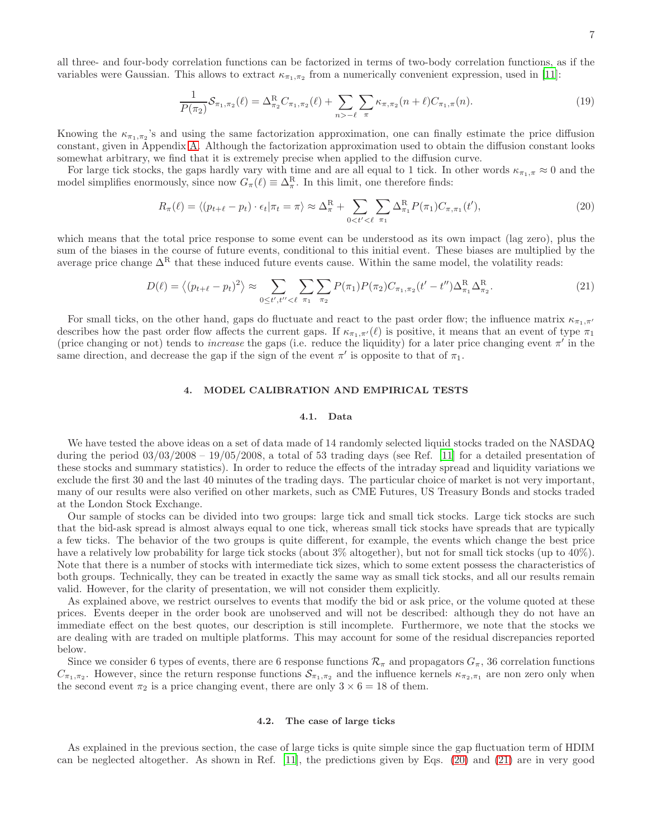all three- and four-body correlation functions can be factorized in terms of two-body correlation functions, as if the variables were Gaussian. This allows to extract  $\kappa_{\pi_1,\pi_2}$  from a numerically convenient expression, used in [\[11\]](#page-11-6):

<span id="page-6-5"></span>
$$
\frac{1}{P(\pi_2)} S_{\pi_1, \pi_2}(\ell) = \Delta_{\pi_2}^R C_{\pi_1, \pi_2}(\ell) + \sum_{n > -\ell} \sum_{\pi} \kappa_{\pi, \pi_2}(n + \ell) C_{\pi_1, \pi}(n). \tag{19}
$$

Knowing the  $\kappa_{\pi_1,\pi_2}$ 's and using the same factorization approximation, one can finally estimate the price diffusion constant, given in Appendix [A.](#page-10-1) Although the factorization approximation used to obtain the diffusion constant looks somewhat arbitrary, we find that it is extremely precise when applied to the diffusion curve.

For large tick stocks, the gaps hardly vary with time and are all equal to 1 tick. In other words  $\kappa_{\pi_1,\pi} \approx 0$  and the model simplifies enormously, since now  $G_{\pi}(\ell) \equiv \Delta_{\pi}^{\rm R}$ . In this limit, one therefore finds:

<span id="page-6-3"></span>
$$
R_{\pi}(\ell) = \langle (p_{t+\ell} - p_t) \cdot \epsilon_t | \pi_t = \pi \rangle \approx \Delta_{\pi}^{\mathcal{R}} + \sum_{0 < t' < \ell} \sum_{\pi_1} \Delta_{\pi_1}^{\mathcal{R}} P(\pi_1) C_{\pi, \pi_1}(t'), \tag{20}
$$

which means that the total price response to some event can be understood as its own impact (lag zero), plus the sum of the biases in the course of future events, conditional to this initial event. These biases are multiplied by the average price change  $\Delta^R$  that these induced future events cause. Within the same model, the volatility reads:

<span id="page-6-4"></span>
$$
D(\ell) = \langle (p_{t+\ell} - p_t)^2 \rangle \approx \sum_{0 \le t', t'' < \ell} \sum_{\pi_1} \sum_{\pi_2} P(\pi_1) P(\pi_2) C_{\pi_1, \pi_2} (t' - t'') \Delta_{\pi_1}^R \Delta_{\pi_2}^R.
$$
 (21)

For small ticks, on the other hand, gaps do fluctuate and react to the past order flow; the influence matrix  $\kappa_{\pi_1,\pi'}$ describes how the past order flow affects the current gaps. If  $\kappa_{\pi_1,\pi'}(\ell)$  is positive, it means that an event of type  $\pi_1$ (price changing or not) tends to *increase* the gaps (i.e. reduce the liquidity) for a later price changing event  $\pi'$  in the same direction, and decrease the gap if the sign of the event  $\pi'$  is opposite to that of  $\pi_1$ .

#### <span id="page-6-0"></span>4. MODEL CALIBRATION AND EMPIRICAL TESTS

### <span id="page-6-1"></span>4.1. Data

We have tested the above ideas on a set of data made of 14 randomly selected liquid stocks traded on the NASDAQ during the period  $03/03/2008 - 19/05/2008$ , a total of 53 trading days (see Ref. [\[11\]](#page-11-6) for a detailed presentation of these stocks and summary statistics). In order to reduce the effects of the intraday spread and liquidity variations we exclude the first 30 and the last 40 minutes of the trading days. The particular choice of market is not very important, many of our results were also verified on other markets, such as CME Futures, US Treasury Bonds and stocks traded at the London Stock Exchange.

Our sample of stocks can be divided into two groups: large tick and small tick stocks. Large tick stocks are such that the bid-ask spread is almost always equal to one tick, whereas small tick stocks have spreads that are typically a few ticks. The behavior of the two groups is quite different, for example, the events which change the best price have a relatively low probability for large tick stocks (about  $3\%$  altogether), but not for small tick stocks (up to  $40\%$ ). Note that there is a number of stocks with intermediate tick sizes, which to some extent possess the characteristics of both groups. Technically, they can be treated in exactly the same way as small tick stocks, and all our results remain valid. However, for the clarity of presentation, we will not consider them explicitly.

As explained above, we restrict ourselves to events that modify the bid or ask price, or the volume quoted at these prices. Events deeper in the order book are unobserved and will not be described: although they do not have an immediate effect on the best quotes, our description is still incomplete. Furthermore, we note that the stocks we are dealing with are traded on multiple platforms. This may account for some of the residual discrepancies reported below.

Since we consider 6 types of events, there are 6 response functions  $\mathcal{R}_{\pi}$  and propagators  $G_{\pi}$ , 36 correlation functions  $C_{\pi_1,\pi_2}$ . However, since the return response functions  $S_{\pi_1,\pi_2}$  and the influence kernels  $\kappa_{\pi_2,\pi_1}$  are non zero only when the second event  $\pi_2$  is a price changing event, there are only  $3 \times 6 = 18$  of them.

### <span id="page-6-2"></span>4.2. The case of large ticks

As explained in the previous section, the case of large ticks is quite simple since the gap fluctuation term of HDIM can be neglected altogether. As shown in Ref. [\[11\]](#page-11-6), the predictions given by Eqs. [\(20\)](#page-6-3) and [\(21\)](#page-6-4) are in very good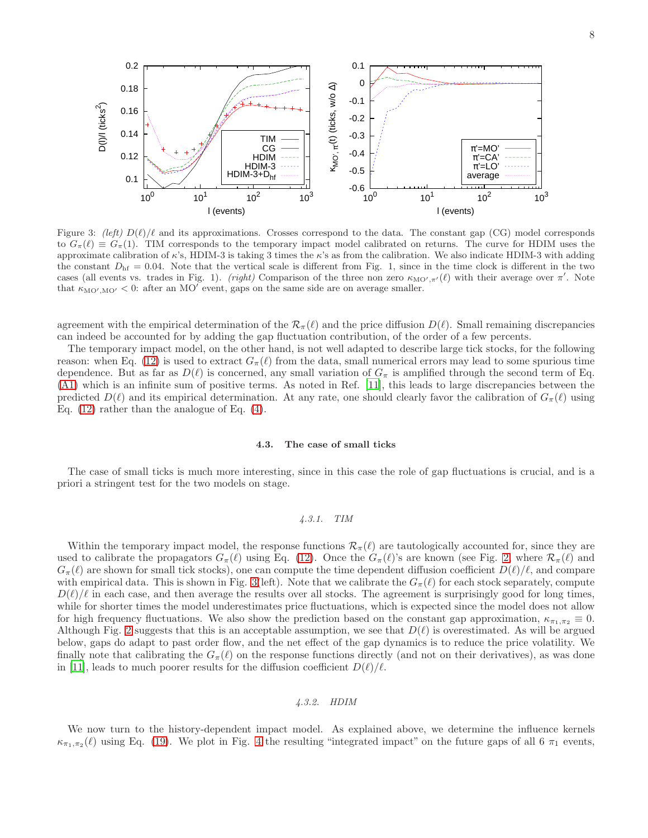



0.16

0.18

0.2

<span id="page-7-3"></span>to  $G_{\pi}(\ell) \equiv G_{\pi}(1)$ . TIM corresponds to the temporary impact model calibrated on returns. The curve for HDIM uses the approximate calibration of  $\kappa$ 's, HDIM-3 is taking 3 times the  $\kappa$ 's as from the calibration. We also indicate HDIM-3 with adding the constant  $D<sub>hf</sub> = 0.04$ . Note that the vertical scale is different from Fig. 1, since in the time clock is different in the two cases (all events vs. trades in Fig. 1). (right) Comparison of the three non zero  $\kappa_{\text{MO}',\pi'}(\ell)$  with their average over  $\pi'$ . Note that  $\kappa_{\text{MO}',\text{MO}'}$  < 0: after an MO' event, gaps on the same side are on average smaller.

agreement with the empirical determination of the  $\mathcal{R}_{\pi}(\ell)$  and the price diffusion  $D(\ell)$ . Small remaining discrepancies can indeed be accounted for by adding the gap fluctuation contribution, of the order of a few percents.

The temporary impact model, on the other hand, is not well adapted to describe large tick stocks, for the following reason: when Eq. [\(12\)](#page-4-3) is used to extract  $G_{\pi}(\ell)$  from the data, small numerical errors may lead to some spurious time dependence. But as far as  $D(\ell)$  is concerned, any small variation of  $G_\pi$  is amplified through the second term of Eq. [\(A1\)](#page-10-2) which is an infinite sum of positive terms. As noted in Ref. [\[11](#page-11-6)], this leads to large discrepancies between the predicted  $D(\ell)$  and its empirical determination. At any rate, one should clearly favor the calibration of  $G_{\pi}(\ell)$  using Eq. [\(12\)](#page-4-3) rather than the analogue of Eq. [\(4\)](#page-1-3).

#### <span id="page-7-0"></span>4.3. The case of small ticks

The case of small ticks is much more interesting, since in this case the role of gap fluctuations is crucial, and is a priori a stringent test for the two models on stage.

# <span id="page-7-1"></span>4.3.1. TIM

Within the temporary impact model, the response functions  $\mathcal{R}_{\pi}(\ell)$  are tautologically accounted for, since they are used to calibrate the propagators  $G_{\pi}(\ell)$  using Eq. [\(12\)](#page-4-3). Once the  $G_{\pi}(\ell)$ 's are known (see Fig. [2,](#page-4-2) where  $\mathcal{R}_{\pi}(\ell)$  and  $G_{\pi}(\ell)$  are shown for small tick stocks), one can compute the time dependent diffusion coefficient  $D(\ell)/\ell$ , and compare with empirical data. This is shown in Fig. [3\(](#page-7-3)left). Note that we calibrate the  $G_{\pi}(\ell)$  for each stock separately, compute  $D(\ell)/\ell$  in each case, and then average the results over all stocks. The agreement is surprisingly good for long times, while for shorter times the model underestimates price fluctuations, which is expected since the model does not allow for high frequency fluctuations. We also show the prediction based on the constant gap approximation,  $\kappa_{\pi_1,\pi_2} \equiv 0$ . Although Fig. [2](#page-4-2) suggests that this is an acceptable assumption, we see that  $D(\ell)$  is overestimated. As will be argued below, gaps do adapt to past order flow, and the net effect of the gap dynamics is to reduce the price volatility. We finally note that calibrating the  $G_\pi(\ell)$  on the response functions directly (and not on their derivatives), as was done in [\[11](#page-11-6)], leads to much poorer results for the diffusion coefficient  $D(\ell)/\ell$ .

# <span id="page-7-2"></span>4.3.2. HDIM

We now turn to the history-dependent impact model. As explained above, we determine the influence kernels  $\kappa_{\pi_1,\pi_2}(\ell)$  using Eq. [\(19\)](#page-6-5). We plot in Fig. [4](#page-8-0) the resulting "integrated impact" on the future gaps of all 6  $\pi_1$  events,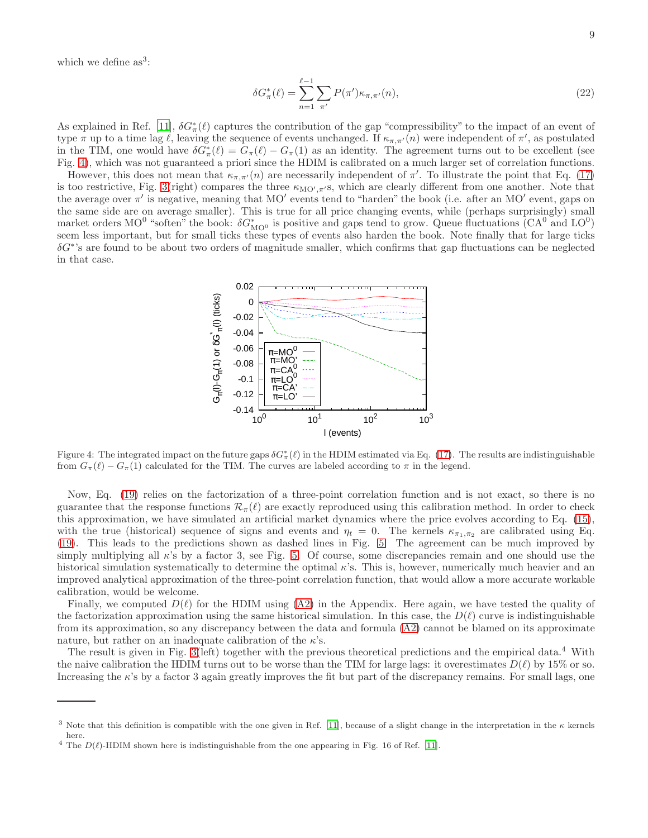which we define  $as^3$ :

$$
\delta G_{\pi}^{*}(\ell) = \sum_{n=1}^{\ell-1} \sum_{\pi'} P(\pi') \kappa_{\pi,\pi'}(n),
$$
\n(22)

As explained in Ref. [\[11](#page-11-6)],  $\delta G^*_{\pi}(\ell)$  captures the contribution of the gap "compressibility" to the impact of an event of type  $\pi$  up to a time lag  $\ell$ , leaving the sequence of events unchanged. If  $\kappa_{\pi,\pi'}(n)$  were independent of  $\pi'$ , as postulated in the TIM, one would have  $\delta G^*_{\pi}(\ell) = G_{\pi}(\ell) - G_{\pi}(1)$  as an identity. The agreement turns out to be excellent (see Fig. [4\)](#page-8-0), which was not guaranteed a priori since the HDIM is calibrated on a much larger set of correlation functions.

However, this does not mean that  $\kappa_{\pi,\pi'}(n)$  are necessarily independent of  $\pi'$ . To illustrate the point that Eq. [\(17\)](#page-5-2) is too restrictive, Fig. [3\(](#page-7-3)right) compares the three  $\kappa_{\text{MO}',\pi'}$ s, which are clearly different from one another. Note that the average over  $\pi'$  is negative, meaning that MO' events tend to "harden" the book (i.e. after an MO' event, gaps on the same side are on average smaller). This is true for all price changing events, while (perhaps surprisingly) small market orders MO<sup>0</sup> "soften" the book:  $\delta G_{\text{MO}^0}^*$  is positive and gaps tend to grow. Queue fluctuations  $(CA^0)$  and  $LO^0$ ) seem less important, but for small ticks these types of events also harden the book. Note finally that for large ticks  $\delta G^*$ 's are found to be about two orders of magnitude smaller, which confirms that gap fluctuations can be neglected in that case.



<span id="page-8-0"></span>Figure 4: The integrated impact on the future gaps  $\delta G^*_{\pi}(\ell)$  in the HDIM estimated via Eq. [\(17\)](#page-5-2). The results are indistinguishable from  $G_{\pi}(\ell) - G_{\pi}(1)$  calculated for the TIM. The curves are labeled according to  $\pi$  in the legend.

Now, Eq. [\(19\)](#page-6-5) relies on the factorization of a three-point correlation function and is not exact, so there is no guarantee that the response functions  $\mathcal{R}_{\pi}(\ell)$  are exactly reproduced using this calibration method. In order to check this approximation, we have simulated an artificial market dynamics where the price evolves according to Eq. [\(15\)](#page-5-3), with the true (historical) sequence of signs and events and  $\eta_t = 0$ . The kernels  $\kappa_{\pi_1, \pi_2}$  are calibrated using Eq. [\(19\)](#page-6-5). This leads to the predictions shown as dashed lines in Fig. [5.](#page-9-1) The agreement can be much improved by simply multiplying all κ's by a factor 3, see Fig. [5.](#page-9-1) Of course, some discrepancies remain and one should use the historical simulation systematically to determine the optimal  $\kappa$ 's. This is, however, numerically much heavier and an improved analytical approximation of the three-point correlation function, that would allow a more accurate workable calibration, would be welcome.

Finally, we computed  $D(\ell)$  for the HDIM using [\(A2\)](#page-11-12) in the Appendix. Here again, we have tested the quality of the factorization approximation using the same historical simulation. In this case, the  $D(\ell)$  curve is indistinguishable from its approximation, so any discrepancy between the data and formula [\(A2\)](#page-11-12) cannot be blamed on its approximate nature, but rather on an inadequate calibration of the  $\kappa$ 's.

The result is given in Fig. [3\(](#page-7-3)left) together with the previous theoretical predictions and the empirical data.<sup>4</sup> With the naive calibration the HDIM turns out to be worse than the TIM for large lags: it overestimates  $D(\ell)$  by 15% or so. Increasing the  $\kappa$ 's by a factor 3 again greatly improves the fit but part of the discrepancy remains. For small lags, one

<sup>&</sup>lt;sup>3</sup> Note that this definition is compatible with the one given in Ref. [\[11\]](#page-11-6), because of a slight change in the interpretation in the  $\kappa$  kernels here.

<sup>&</sup>lt;sup>4</sup> The  $D(\ell)$ -HDIM shown here is indistinguishable from the one appearing in Fig. 16 of Ref. [\[11\]](#page-11-6).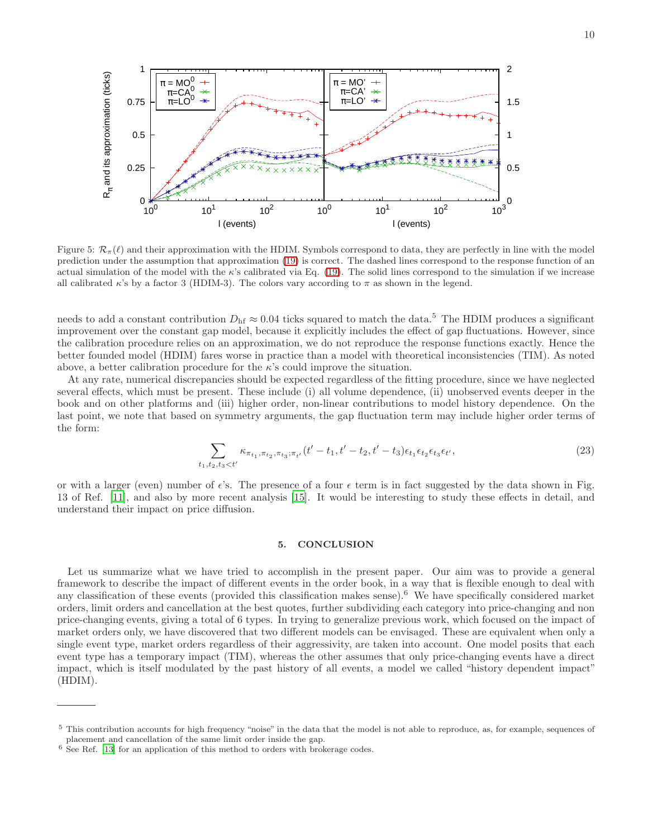

<span id="page-9-1"></span>Figure 5:  $\mathcal{R}_{\pi}(\ell)$  and their approximation with the HDIM. Symbols correspond to data, they are perfectly in line with the model prediction under the assumption that approximation [\(19\)](#page-6-5) is correct. The dashed lines correspond to the response function of an actual simulation of the model with the  $\kappa$ 's calibrated via Eq. [\(19\)](#page-6-5). The solid lines correspond to the simulation if we increase all calibrated  $\kappa$ 's by a factor 3 (HDIM-3). The colors vary according to  $\pi$  as shown in the legend.

needs to add a constant contribution  $D_{\rm hf} \approx 0.04$  ticks squared to match the data.<sup>5</sup> The HDIM produces a significant improvement over the constant gap model, because it explicitly includes the effect of gap fluctuations. However, since the calibration procedure relies on an approximation, we do not reproduce the response functions exactly. Hence the better founded model (HDIM) fares worse in practice than a model with theoretical inconsistencies (TIM). As noted above, a better calibration procedure for the  $\kappa$ 's could improve the situation.

At any rate, numerical discrepancies should be expected regardless of the fitting procedure, since we have neglected several effects, which must be present. These include (i) all volume dependence, (ii) unobserved events deeper in the book and on other platforms and (iii) higher order, non-linear contributions to model history dependence. On the last point, we note that based on symmetry arguments, the gap fluctuation term may include higher order terms of the form:

$$
\sum_{t_1, t_2, t_3 < t'} \kappa_{\pi_{t_1}, \pi_{t_2}, \pi_{t_3}; \pi_{t'}}(t'-t_1, t'-t_2, t'-t_3) \epsilon_{t_1} \epsilon_{t_2} \epsilon_{t_3} \epsilon_{t'},
$$
\n(23)

or with a larger (even) number of  $\epsilon$ 's. The presence of a four  $\epsilon$  term is in fact suggested by the data shown in Fig. 13 of Ref. [\[11\]](#page-11-6), and also by more recent analysis [\[15\]](#page-11-13). It would be interesting to study these effects in detail, and understand their impact on price diffusion.

#### <span id="page-9-0"></span>5. CONCLUSION

Let us summarize what we have tried to accomplish in the present paper. Our aim was to provide a general framework to describe the impact of different events in the order book, in a way that is flexible enough to deal with any classification of these events (provided this classification makes sense).<sup>6</sup> We have specifically considered market orders, limit orders and cancellation at the best quotes, further subdividing each category into price-changing and non price-changing events, giving a total of 6 types. In trying to generalize previous work, which focused on the impact of market orders only, we have discovered that two different models can be envisaged. These are equivalent when only a single event type, market orders regardless of their aggressivity, are taken into account. One model posits that each event type has a temporary impact (TIM), whereas the other assumes that only price-changing events have a direct impact, which is itself modulated by the past history of all events, a model we called "history dependent impact" (HDIM).

<sup>&</sup>lt;sup>5</sup> This contribution accounts for high frequency "noise" in the data that the model is not able to reproduce, as, for example, sequences of placement and cancellation of the same limit order inside the gap.

 $6$  See Ref. [\[13](#page-11-10)] for an application of this method to orders with brokerage codes.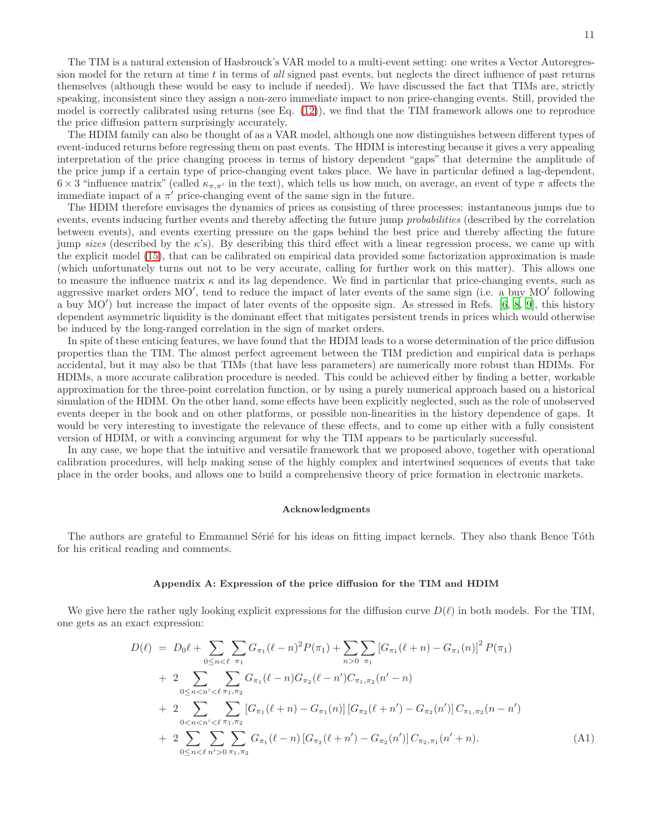The TIM is a natural extension of Hasbrouck's VAR model to a multi-event setting: one writes a Vector Autoregres-

sion model for the return at time  $t$  in terms of all signed past events, but neglects the direct influence of past returns themselves (although these would be easy to include if needed). We have discussed the fact that TIMs are, strictly speaking, inconsistent since they assign a non-zero immediate impact to non price-changing events. Still, provided the model is correctly calibrated using returns (see Eq. [\(12\)](#page-4-3)), we find that the TIM framework allows one to reproduce the price diffusion pattern surprisingly accurately.

The HDIM family can also be thought of as a VAR model, although one now distinguishes between different types of event-induced returns before regressing them on past events. The HDIM is interesting because it gives a very appealing interpretation of the price changing process in terms of history dependent "gaps" that determine the amplitude of the price jump if a certain type of price-changing event takes place. We have in particular defined a lag-dependent,  $6 \times 3$  "influence matrix" (called  $\kappa_{\pi,\pi'}$  in the text), which tells us how much, on average, an event of type  $\pi$  affects the immediate impact of a  $\pi'$  price-changing event of the same sign in the future.

The HDIM therefore envisages the dynamics of prices as consisting of three processes: instantaneous jumps due to events, events inducing further events and thereby affecting the future jump *probabilities* (described by the correlation between events), and events exerting pressure on the gaps behind the best price and thereby affecting the future jump sizes (described by the  $\kappa$ 's). By describing this third effect with a linear regression process, we came up with the explicit model [\(15\)](#page-5-3), that can be calibrated on empirical data provided some factorization approximation is made (which unfortunately turns out not to be very accurate, calling for further work on this matter). This allows one to measure the influence matrix  $\kappa$  and its lag dependence. We find in particular that price-changing events, such as aggressive market orders MO′ , tend to reduce the impact of later events of the same sign (i.e. a buy MO′ following a buy MO′ ) but increase the impact of later events of the opposite sign. As stressed in Refs. [\[6,](#page-11-2) [8](#page-11-8), [9\]](#page-11-4), this history dependent asymmetric liquidity is the dominant effect that mitigates persistent trends in prices which would otherwise be induced by the long-ranged correlation in the sign of market orders.

In spite of these enticing features, we have found that the HDIM leads to a worse determination of the price diffusion properties than the TIM. The almost perfect agreement between the TIM prediction and empirical data is perhaps accidental, but it may also be that TIMs (that have less parameters) are numerically more robust than HDIMs. For HDIMs, a more accurate calibration procedure is needed. This could be achieved either by finding a better, workable approximation for the three-point correlation function, or by using a purely numerical approach based on a historical simulation of the HDIM. On the other hand, some effects have been explicitly neglected, such as the role of unobserved events deeper in the book and on other platforms, or possible non-linearities in the history dependence of gaps. It would be very interesting to investigate the relevance of these effects, and to come up either with a fully consistent version of HDIM, or with a convincing argument for why the TIM appears to be particularly successful.

In any case, we hope that the intuitive and versatile framework that we proposed above, together with operational calibration procedures, will help making sense of the highly complex and intertwined sequences of events that take place in the order books, and allows one to build a comprehensive theory of price formation in electronic markets.

#### <span id="page-10-0"></span>Acknowledgments

The authors are grateful to Emmanuel Sérié for his ideas on fitting impact kernels. They also thank Bence Tóth for his critical reading and comments.

# <span id="page-10-1"></span>Appendix A: Expression of the price diffusion for the TIM and HDIM

We give here the rather ugly looking explicit expressions for the diffusion curve  $D(\ell)$  in both models. For the TIM, one gets as an exact expression:

<span id="page-10-2"></span>
$$
D(\ell) = D_0 \ell + \sum_{0 \le n < \ell} \sum_{\pi_1} G_{\pi_1} (\ell - n)^2 P(\pi_1) + \sum_{n > 0} \sum_{\pi_1} \left[ G_{\pi_1} (\ell + n) - G_{\pi_1} (n) \right]^2 P(\pi_1) + 2 \sum_{0 \le n < n' < \ell} \sum_{\pi_1, \pi_2} G_{\pi_1} (\ell - n) G_{\pi_2} (\ell - n') C_{\pi_1, \pi_2} (n' - n) + 2 \sum_{0 < n < n' < \ell} \sum_{\pi_1, \pi_2} \left[ G_{\pi_1} (\ell + n) - G_{\pi_1} (n) \right] \left[ G_{\pi_2} (\ell + n') - G_{\pi_2} (n') \right] C_{\pi_1, \pi_2} (n - n') + 2 \sum_{0 \le n < \ell} \sum_{n' > 0} \sum_{\pi_1, \pi_2} G_{\pi_1} (\ell - n) \left[ G_{\pi_2} (\ell + n') - G_{\pi_2} (n') \right] C_{\pi_2, \pi_1} (n' + n). \tag{A1}
$$